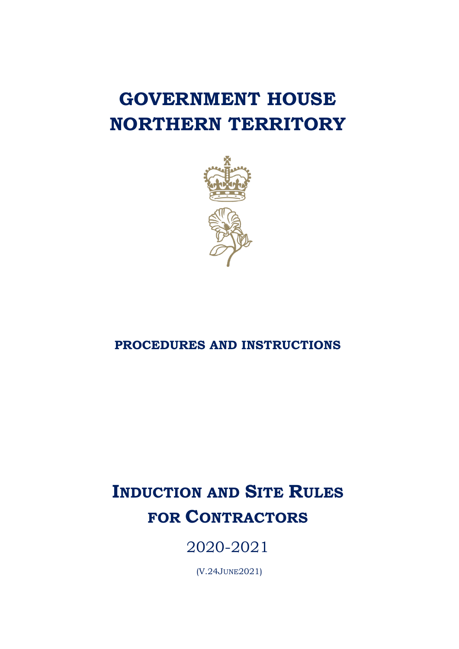# **GOVERNMENT HOUSE NORTHERN TERRITORY**



### **PROCEDURES AND INSTRUCTIONS**

## **INDUCTION AND SITE RULES FOR CONTRACTORS**

2020-2021

(V.24JUNE2021)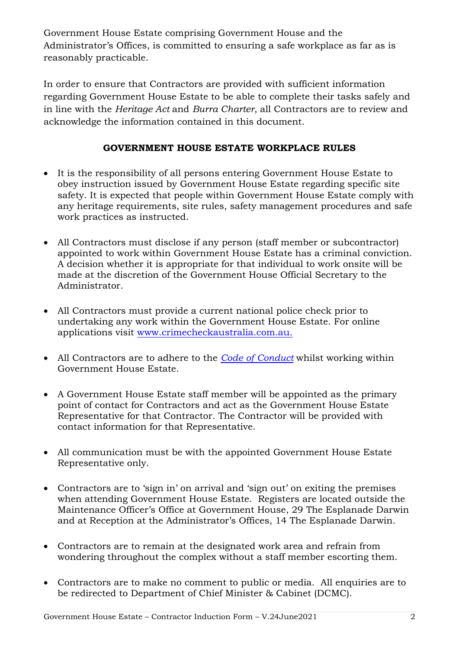Government House Estate comprising Government House and the Administrator's Offices, is committed to ensuring a safe workplace as far as is reasonably practicable.

In order to ensure that Contractors are provided with sufficient information regarding Government House Estate to be able to complete their tasks safely and in line with the *Heritage Act* and *Burra Charter*, all Contractors are to review and acknowledge the information contained in this document.

#### **GOVERNMENT HOUSE ESTATE WORKPLACE RULES**

- It is the responsibility of all persons entering Government House Estate to obey instruction issued by Government House Estate regarding specific site safety. It is expected that people within Government House Estate comply with any heritage requirements, site rules, safety management procedures and safe work practices as instructed.
- All Contractors must disclose if any person (staff member or subcontractor) appointed to work within Government House Estate has a criminal conviction. A decision whether it is appropriate for that individual to work onsite will be made at the discretion of the Government House Official Secretary to the Administrator.
- All Contractors must provide a current national police check prior to undertaking any work within the Government House Estate. For online applications visit www.crimecheckaustralia.com.au.
- All Contractors are to adhere to the *[Code of Conduct](file:///C:/Users/lskye/AppData/Local/Microsoft/Windows/INetCache/Content.Outlook/ECP65UGV/Contractor-Code%20of%20Conduct.docx)* whilst working within Government House Estate.
- A Government House Estate staff member will be appointed as the primary point of contact for Contractors and act as the Government House Estate Representative for that Contractor. The Contractor will be provided with contact information for that Representative.
- All communication must be with the appointed Government House Estate Representative only.
- Contractors are to 'sign in' on arrival and 'sign out' on exiting the premises when attending Government House Estate. Registers are located outside the Maintenance Officer's Office at Government House, 29 The Esplanade Darwin and at Reception at the Administrator's Offices, 14 The Esplanade Darwin.
- Contractors are to remain at the designated work area and refrain from wondering throughout the complex without a staff member escorting them.
- Contractors are to make no comment to public or media. All enquiries are to be redirected to Department of Chief Minister & Cabinet (DCMC).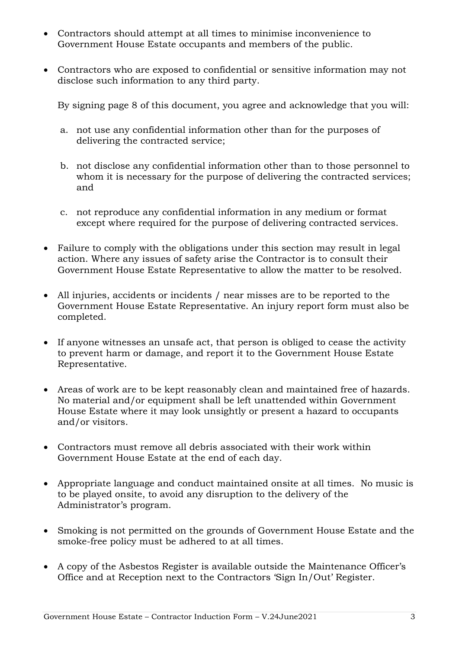- Contractors should attempt at all times to minimise inconvenience to Government House Estate occupants and members of the public.
- Contractors who are exposed to confidential or sensitive information may not disclose such information to any third party.

By signing page 8 of this document, you agree and acknowledge that you will:

- a. not use any confidential information other than for the purposes of delivering the contracted service;
- b. not disclose any confidential information other than to those personnel to whom it is necessary for the purpose of delivering the contracted services; and
- c. not reproduce any confidential information in any medium or format except where required for the purpose of delivering contracted services.
- Failure to comply with the obligations under this section may result in legal action. Where any issues of safety arise the Contractor is to consult their Government House Estate Representative to allow the matter to be resolved.
- All injuries, accidents or incidents / near misses are to be reported to the Government House Estate Representative. An injury report form must also be completed.
- If anyone witnesses an unsafe act, that person is obliged to cease the activity to prevent harm or damage, and report it to the Government House Estate Representative.
- Areas of work are to be kept reasonably clean and maintained free of hazards. No material and/or equipment shall be left unattended within Government House Estate where it may look unsightly or present a hazard to occupants and/or visitors.
- Contractors must remove all debris associated with their work within Government House Estate at the end of each day.
- Appropriate language and conduct maintained onsite at all times. No music is to be played onsite, to avoid any disruption to the delivery of the Administrator's program.
- Smoking is not permitted on the grounds of Government House Estate and the smoke-free policy must be adhered to at all times.
- A copy of the Asbestos Register is available outside the Maintenance Officer's Office and at Reception next to the Contractors 'Sign In/Out' Register.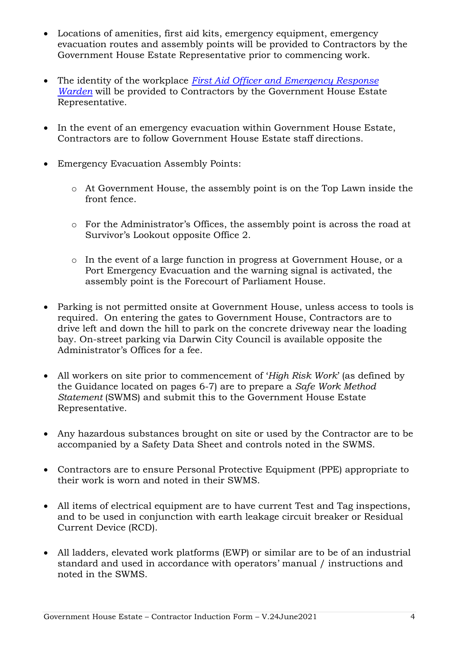- Locations of amenities, first aid kits, emergency equipment, emergency evacuation routes and assembly points will be provided to Contractors by the Government House Estate Representative prior to commencing work.
- The identity of the workplace *[First Aid Officer and Emergency Response](file:///C:/Users/lskye/AppData/Local/Microsoft/Windows/INetCache/Content.Outlook/ECP65UGV/Annexure%20E%20FIRST%20AID%20AND%20FIRE%20WARDEN.docx)  [Warden](file:///C:/Users/lskye/AppData/Local/Microsoft/Windows/INetCache/Content.Outlook/ECP65UGV/Annexure%20E%20FIRST%20AID%20AND%20FIRE%20WARDEN.docx)* will be provided to Contractors by the Government House Estate Representative.
- In the event of an emergency evacuation within Government House Estate, Contractors are to follow Government House Estate staff directions.
- Emergency Evacuation Assembly Points:
	- o At Government House, the assembly point is on the Top Lawn inside the front fence.
	- o For the Administrator's Offices, the assembly point is across the road at Survivor's Lookout opposite Office 2.
	- o In the event of a large function in progress at Government House, or a Port Emergency Evacuation and the warning signal is activated, the assembly point is the Forecourt of Parliament House.
- Parking is not permitted onsite at Government House, unless access to tools is required. On entering the gates to Government House, Contractors are to drive left and down the hill to park on the concrete driveway near the loading bay. On-street parking via Darwin City Council is available opposite the Administrator's Offices for a fee.
- All workers on site prior to commencement of '*High Risk Work*' (as defined by the Guidance located on pages 6-7) are to prepare a *Safe Work Method Statement* (SWMS) and submit this to the Government House Estate Representative.
- Any hazardous substances brought on site or used by the Contractor are to be accompanied by a Safety Data Sheet and controls noted in the SWMS.
- Contractors are to ensure Personal Protective Equipment (PPE) appropriate to their work is worn and noted in their SWMS.
- All items of electrical equipment are to have current Test and Tag inspections, and to be used in conjunction with earth leakage circuit breaker or Residual Current Device (RCD).
- All ladders, elevated work platforms (EWP) or similar are to be of an industrial standard and used in accordance with operators' manual / instructions and noted in the SWMS.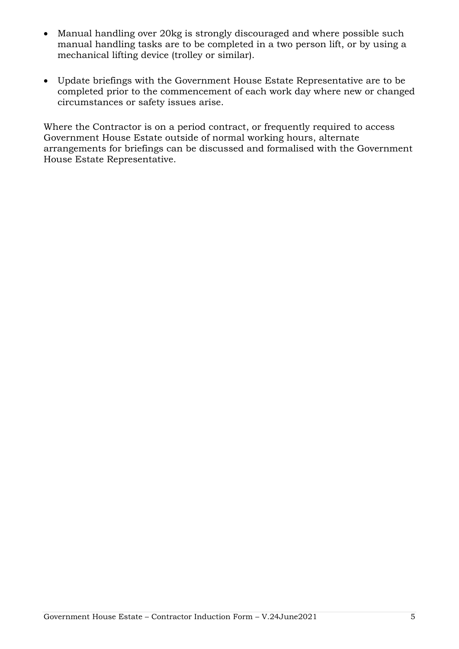- Manual handling over 20kg is strongly discouraged and where possible such manual handling tasks are to be completed in a two person lift, or by using a mechanical lifting device (trolley or similar).
- Update briefings with the Government House Estate Representative are to be completed prior to the commencement of each work day where new or changed circumstances or safety issues arise.

Where the Contractor is on a period contract, or frequently required to access Government House Estate outside of normal working hours, alternate arrangements for briefings can be discussed and formalised with the Government House Estate Representative.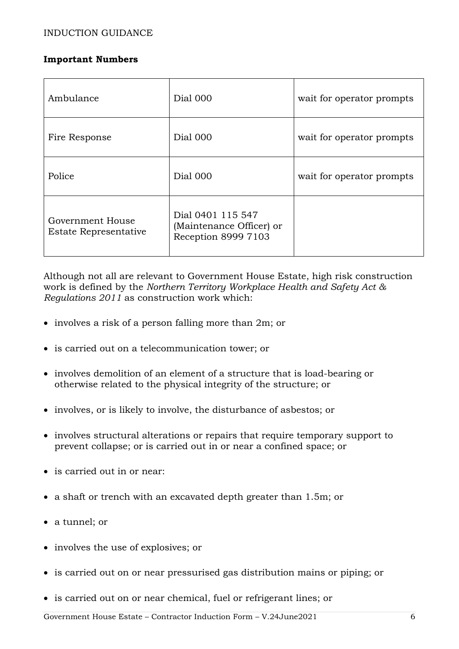#### **Important Numbers**

| Ambulance                                 | Dial 000                                                             | wait for operator prompts |
|-------------------------------------------|----------------------------------------------------------------------|---------------------------|
| Fire Response                             | Dial 000                                                             | wait for operator prompts |
| Police                                    | Dial 000                                                             | wait for operator prompts |
| Government House<br>Estate Representative | Dial 0401 115 547<br>(Maintenance Officer) or<br>Reception 8999 7103 |                           |

Although not all are relevant to Government House Estate, high risk construction work is defined by the *Northern Territory Workplace Health and Safety Act & Regulations 2011* as construction work which:

- involves a risk of a person falling more than 2m; or
- is carried out on a telecommunication tower; or
- involves demolition of an element of a structure that is load-bearing or otherwise related to the physical integrity of the structure; or
- involves, or is likely to involve, the disturbance of asbestos; or
- involves structural alterations or repairs that require temporary support to prevent collapse; or is carried out in or near a confined space; or
- is carried out in or near:
- a shaft or trench with an excavated depth greater than 1.5m; or
- a tunnel; or
- involves the use of explosives; or
- is carried out on or near pressurised gas distribution mains or piping; or
- is carried out on or near chemical, fuel or refrigerant lines; or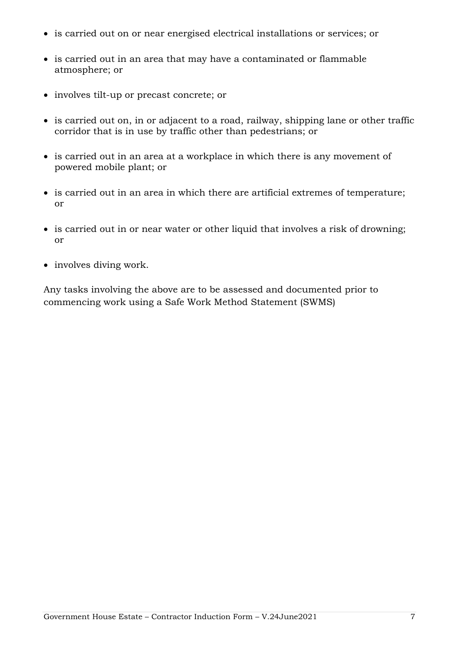- is carried out on or near energised electrical installations or services; or
- is carried out in an area that may have a contaminated or flammable atmosphere; or
- involves tilt-up or precast concrete; or
- is carried out on, in or adjacent to a road, railway, shipping lane or other traffic corridor that is in use by traffic other than pedestrians; or
- is carried out in an area at a workplace in which there is any movement of powered mobile plant; or
- is carried out in an area in which there are artificial extremes of temperature; or
- is carried out in or near water or other liquid that involves a risk of drowning; or
- involves diving work.

Any tasks involving the above are to be assessed and documented prior to commencing work using a Safe Work Method Statement (SWMS)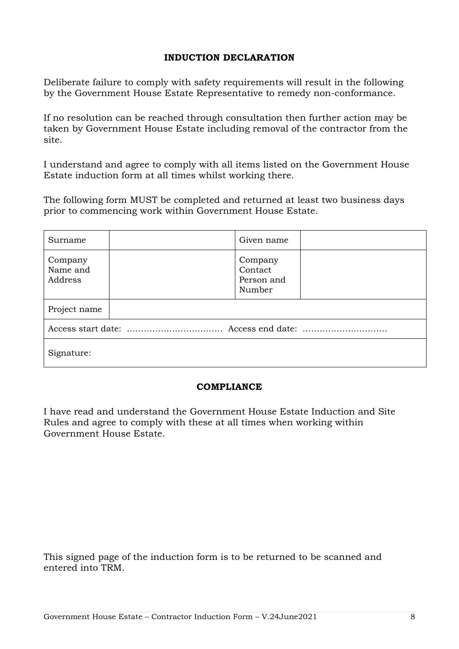#### **INDUCTION DECLARATION**

Deliberate failure to comply with safety requirements will result in the following by the Government House Estate Representative to remedy non-conformance.

If no resolution can be reached through consultation then further action may be taken by Government House Estate including removal of the contractor from the site.

I understand and agree to comply with all items listed on the Government House Estate induction form at all times whilst working there.

The following form MUST be completed and returned at least two business days prior to commencing work within Government House Estate.

| Surname                        |  | Given name                                 |  |  |
|--------------------------------|--|--------------------------------------------|--|--|
| Company<br>Name and<br>Address |  | Company<br>Contact<br>Person and<br>Number |  |  |
| Project name                   |  |                                            |  |  |
|                                |  |                                            |  |  |
| Signature:                     |  |                                            |  |  |

#### **COMPLIANCE**

I have read and understand the Government House Estate Induction and Site Rules and agree to comply with these at all times when working within Government House Estate.

This signed page of the induction form is to be returned to be scanned and entered into TRM.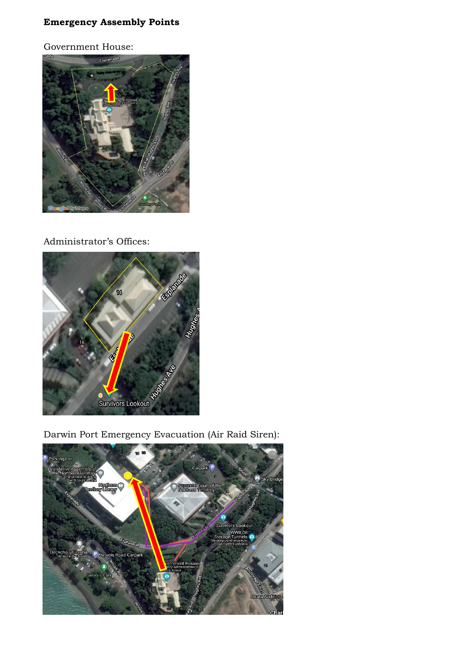#### **Emergency Assembly Points**

Government House:



#### Administrator's Offices:



Darwin Port Emergency Evacuation (Air Raid Siren):